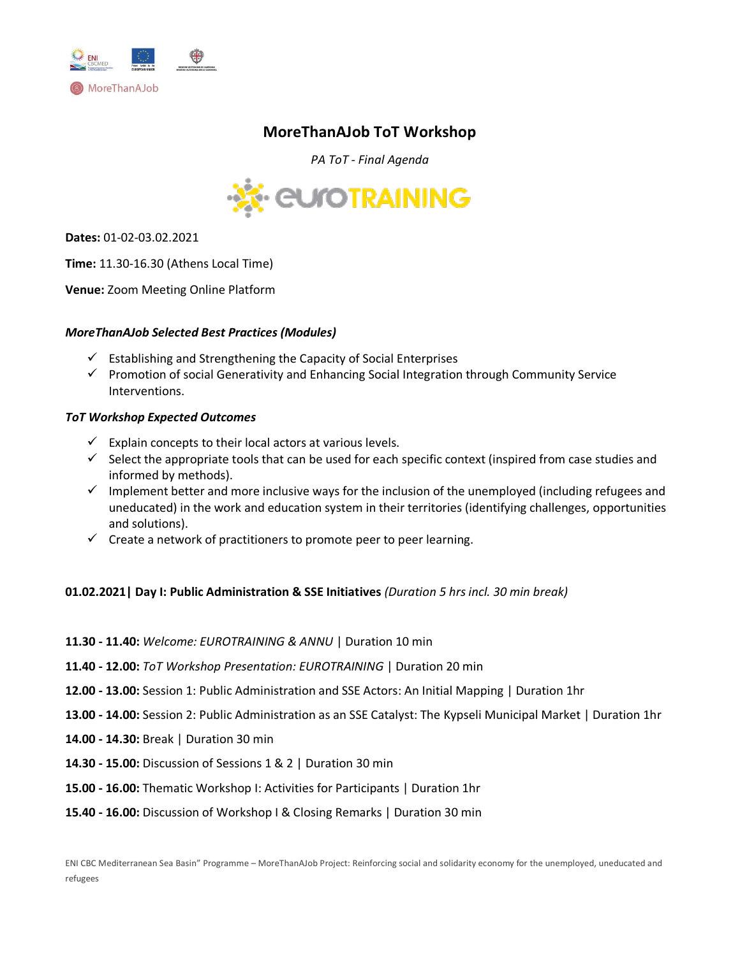

# **MoreThanAJob ToT Workshop**

*PA ToT - Final Agenda*



**Dates:** 01-02-03.02.2021

**Time:** 11.30-16.30 (Athens Local Time)

**Venue:** Zoom Meeting Online Platform

## *MoreThanAJob Selected Best Practices (Modules)*

- $\checkmark$  Establishing and Strengthening the Capacity of Social Enterprises
- $\checkmark$  Promotion of social Generativity and Enhancing Social Integration through Community Service Interventions.

#### *ToT Workshop Expected Outcomes*

- $\checkmark$  Explain concepts to their local actors at various levels.
- $\checkmark$  Select the appropriate tools that can be used for each specific context (inspired from case studies and informed by methods).
- $\checkmark$  Implement better and more inclusive ways for the inclusion of the unemployed (including refugees and uneducated) in the work and education system in their territories (identifying challenges, opportunities and solutions).
- $\checkmark$  Create a network of practitioners to promote peer to peer learning.

## **01.02.2021| Day I: Public Administration & SSE Initiatives** *(Duration 5 hrs incl. 30 min break)*

- **11.30 - 11.40:** *Welcome: EUROTRAINING & ANNU* | Duration 10 min
- **11.40 - 12.00:** *ToT Workshop Presentation: EUROTRAINING* | Duration 20 min
- **12.00 - 13.00:** Session 1: Public Administration and SSE Actors: An Initial Mapping | Duration 1hr
- **13.00 - 14.00:** Session 2: Public Administration as an SSE Catalyst: The Kypseli Municipal Market | Duration 1hr
- **14.00 - 14.30:** Break | Duration 30 min
- **14.30 - 15.00:** Discussion of Sessions 1 & 2 | Duration 30 min
- **15.00 - 16.00:** Thematic Workshop Ι: Activities for Participants | Duration 1hr
- **15.40 - 16.00:** Discussion of Workshop I & Closing Remarks | Duration 30 min